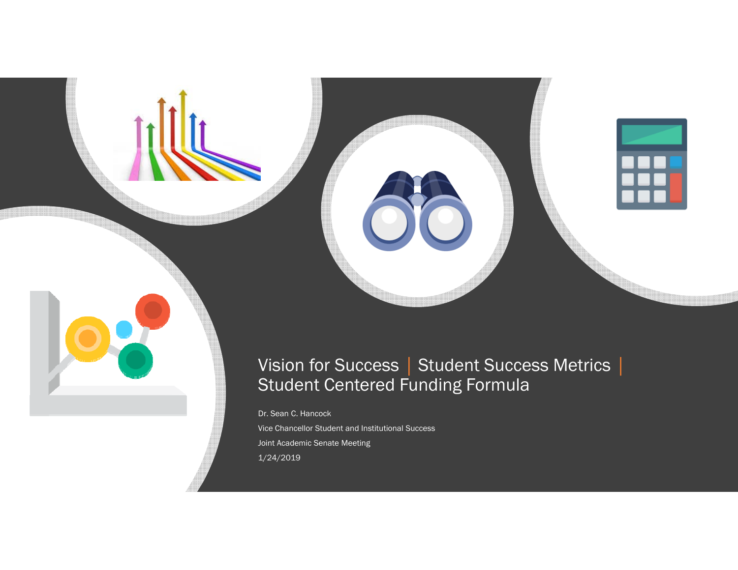

Dr. Sean C. Hancock

Vice Chancellor Student and Institutional Success Joint Academic Senate Meeting 1/24/2019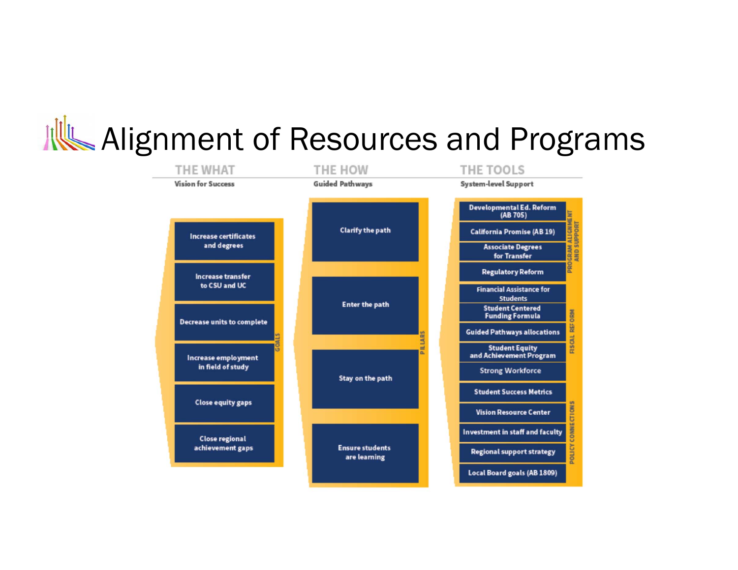## Alignment of Resources and Programs

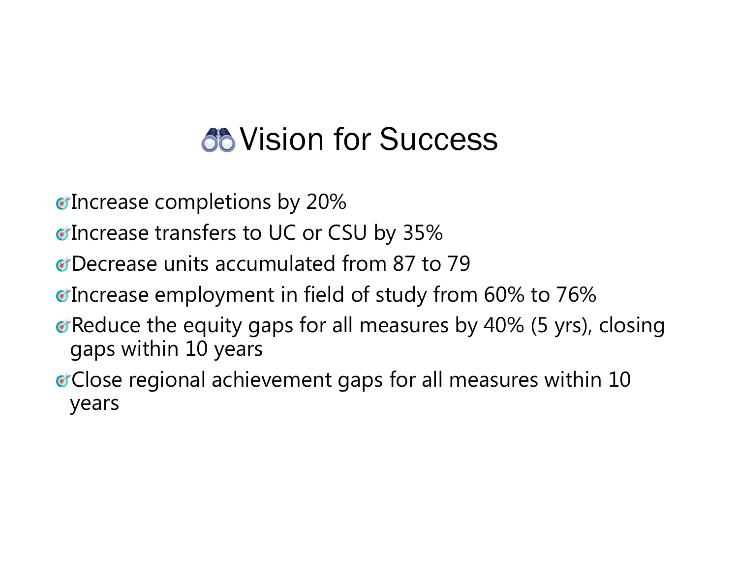## **66 Vision for Success**

- Increase completions by 20%
- *Confidence of transfers to UC or CSU by 35%*
- Decrease units accumulated from 87 to 79
- Increase employment in field of study from 60% to 76%
- **Reduce the equity gaps for all measures by 40% (5 yrs), closing** gaps within 10 years
- Close regional achievement gaps for all measures within 10 years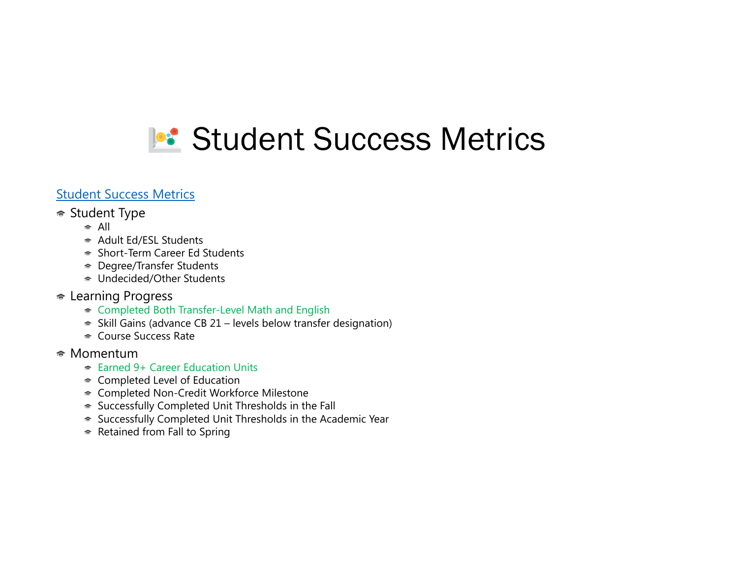

### Student Success Metrics

#### Student Type

- $\approx$  All
- Adult Ed/ESL Students
- Short-Term Career Ed Students
- Degree/Transfer Students
- Undecided/Other Students
- **► Learning Progress** 
	- ★ Completed Both Transfer-Level Math and English
	- $\approx$  Skill Gains (advance CB 21 levels below transfer designation)
	- Course Success Rate
- Momentum
	- Earned 9+ Career Education Units
	- Completed Level of Education
	- Completed Non-Credit Workforce Milestone
	- ★ Successfully Completed Unit Thresholds in the Fall
	- ★ Successfully Completed Unit Thresholds in the Academic Year
	- ★ Retained from Fall to Spring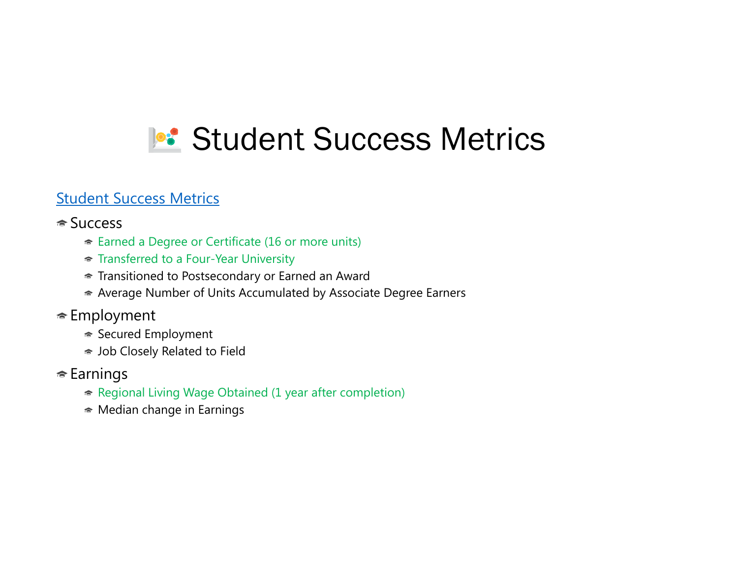## **P**: Student Success Metrics

### Student Success Metrics

### <del>■</del> Success

- Earned a Degree or Certificate (16 or more units)
- **★ Transferred to a Four-Year University**
- Transitioned to Postsecondary or Earned an Award
- Average Number of Units Accumulated by Associate Degree Earners
- Employment
	- **► Secured Employment**
	- Job Closely Related to Field
- **Earnings** 
	- ★ Regional Living Wage Obtained (1 year after completion)
	- $\bullet$  Median change in Earnings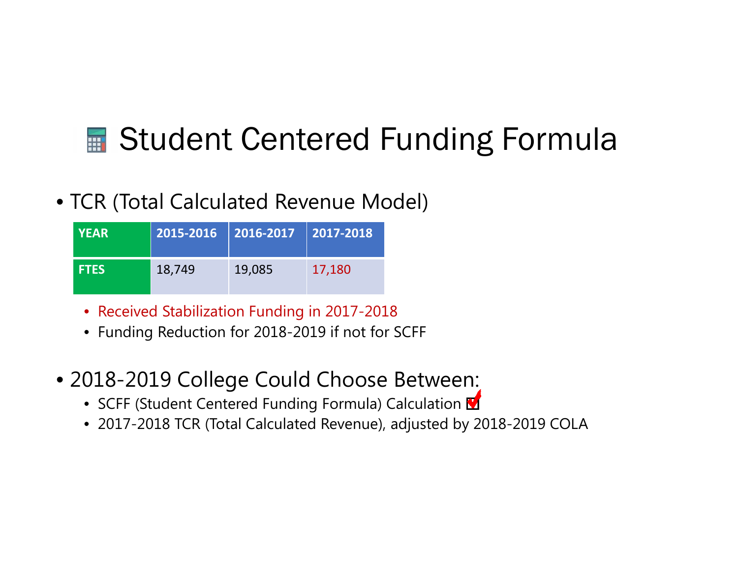### • TCR (Total Calculated Revenue Model)

| <b>YEAR</b> |        | 2015-2016   2016-2017   2017-2018 |        |
|-------------|--------|-----------------------------------|--------|
| <b>FTES</b> | 18,749 | 19,085                            | 17,180 |

- Received Stabilization Funding in 2017-2018
- Funding Reduction for 2018-2019 if not for SCFF
- 2018-2019 College Could Choose Between:
	- SCFF (Student Centered Funding Formula) Calculation
	- 2017-2018 TCR (Total Calculated Revenue), adjusted by 2018-2019 COLA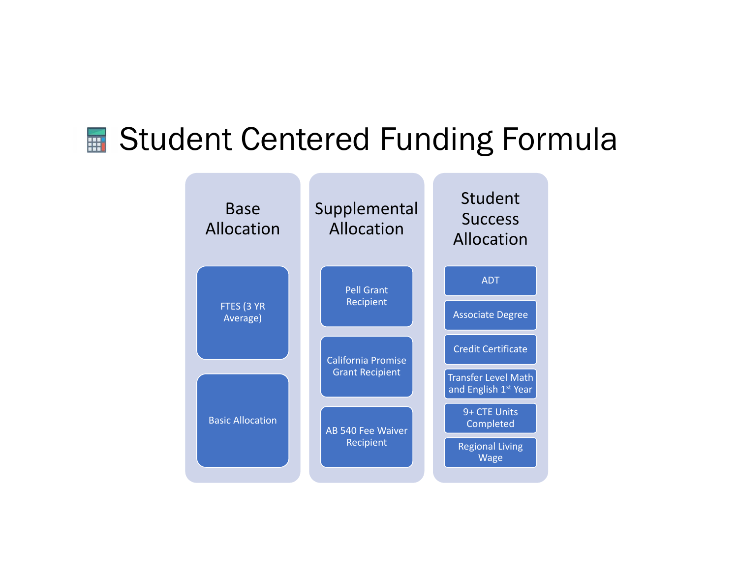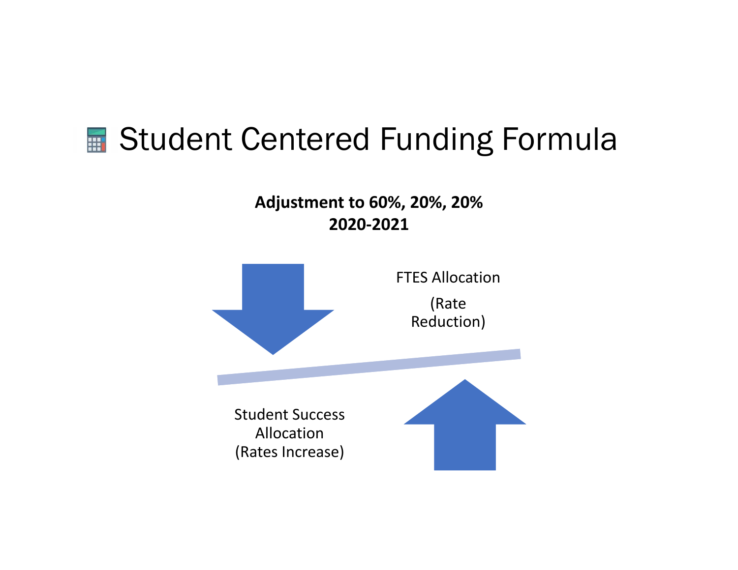**Adjustment to 60%, 20%, 20% 2020 ‐2021**

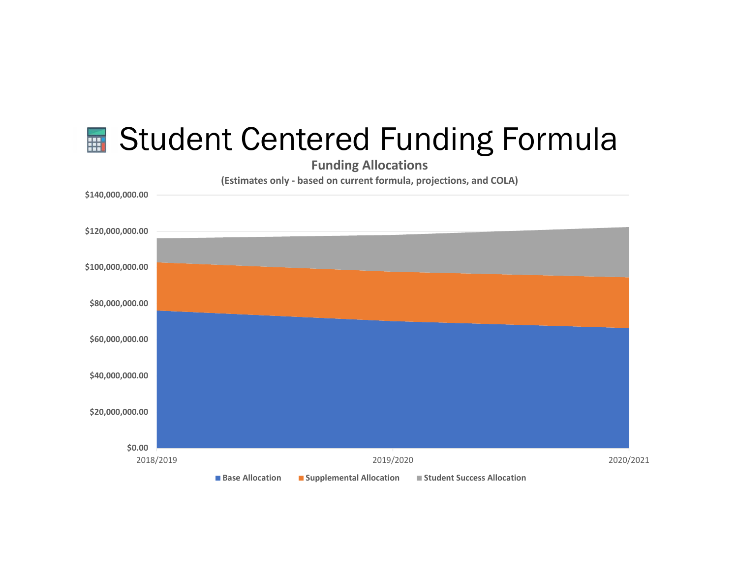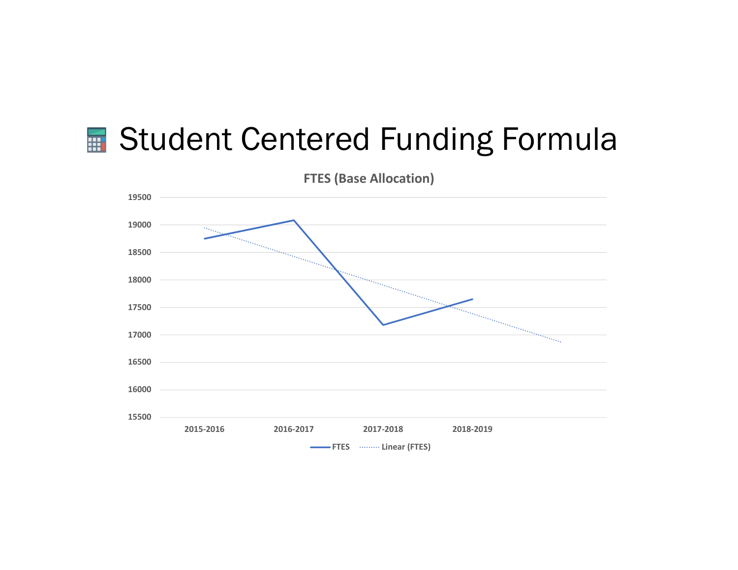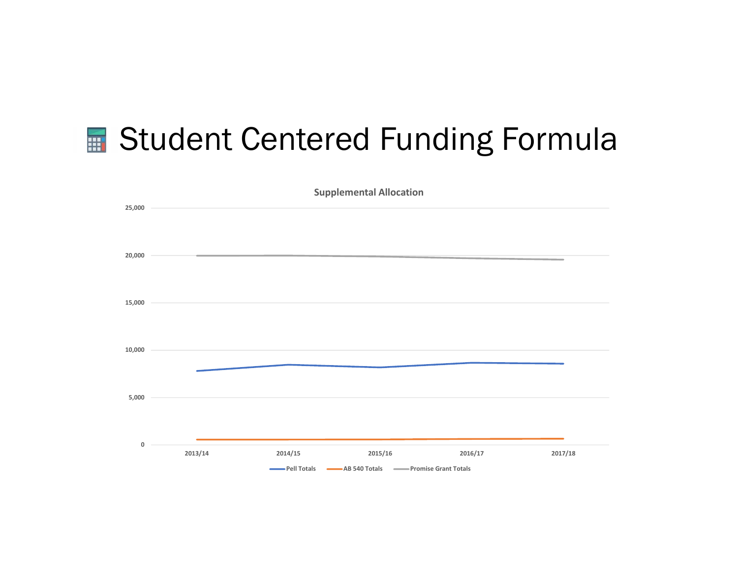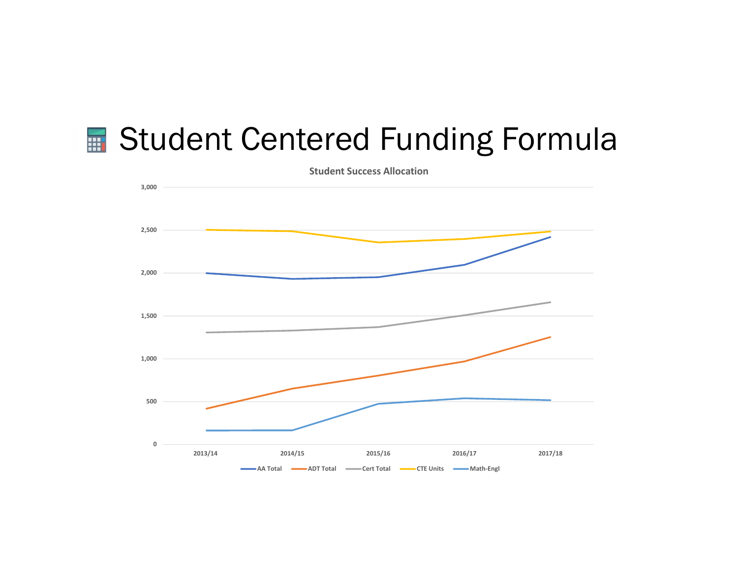